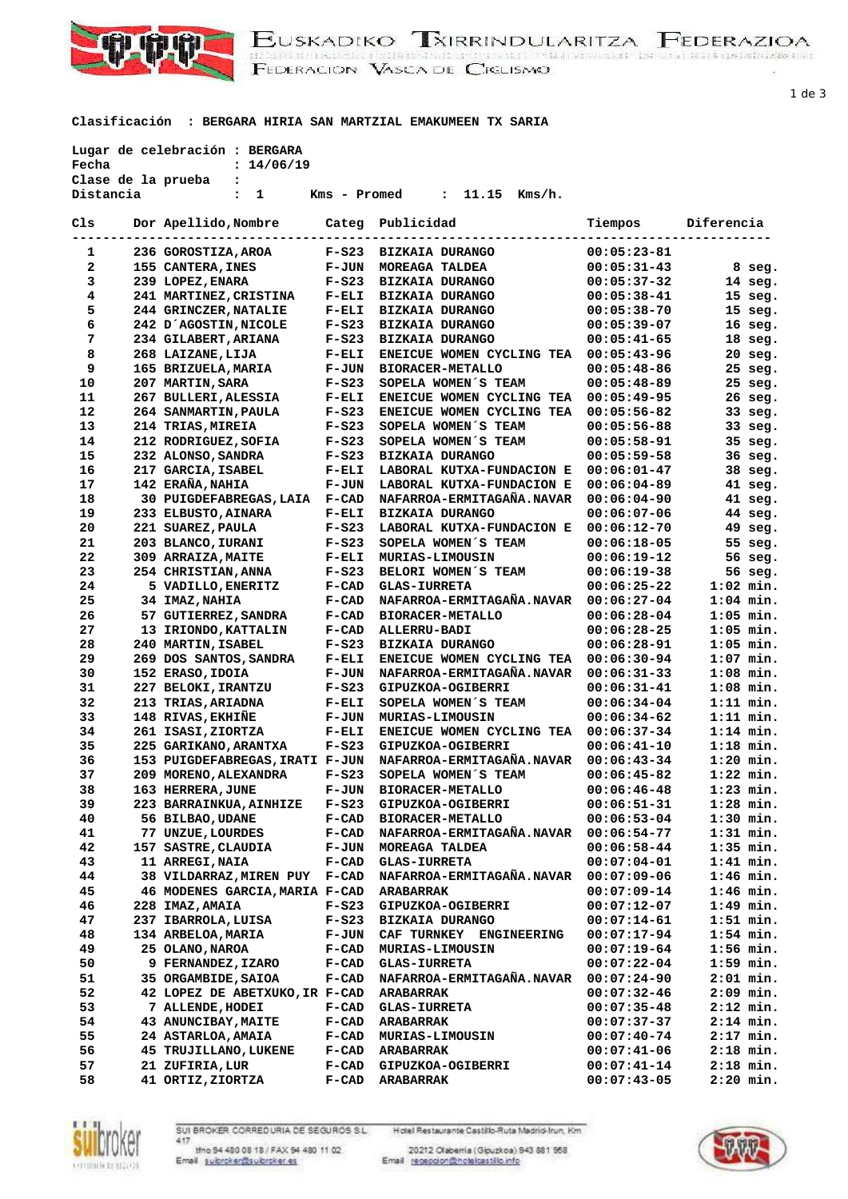## EUSKADIKO TXIRRINDULARITZA FEDERAZIOA<br>ADIRIKINISTRIKINGISTATIONEN TRANSISTERIORISTATION VASCA DE CIGLISMO

1 de 3

**Clasificación : BERGARA HIRIA SAN MARTZIAL EMAKUMEEN TX SARIA**

| Fecha        | Lugar de celebración : BERGARA<br>: 14/06/19<br>Clase de la prueba :                                      |                         |                                                                                 |                                |                            |
|--------------|-----------------------------------------------------------------------------------------------------------|-------------------------|---------------------------------------------------------------------------------|--------------------------------|----------------------------|
| Distancia    | $\mathbf{1}$                                                                                              |                         | $Kms - Promed$ : 11.15 $Kms/h$ .                                                |                                |                            |
| Cls<br>----- | Dor Apellido, Nombre Categ Publicidad<br>-----------------------------------                              |                         |                                                                                 | Tiempos Diferencia             |                            |
| 1            | 236 GOROSTIZA, AROA F-S23 BIZKAIA DURANGO                                                                 |                         |                                                                                 | $00:05:23-81$                  |                            |
| 2            | 155 CANTERA, INES                                                                                         |                         | F-JUN MOREAGA TALDEA                                                            | $00:05:31-43$                  | 8 seg.                     |
| 3            | 239 LOPEZ, ENARA                                                                                          |                         | F-S23 BIZKAIA DURANGO                                                           | $00:05:37-32$                  | $14$ seg.                  |
| 4            | 241 MARTINEZ, CRISTINA F-ELI BIZKAIA DURANGO                                                              |                         |                                                                                 | $00:05:38-41$                  | $15$ seg.                  |
| 5            | 244 GRINCZER, NATALIE       F-ELI   BIZKAIA DURANGO<br>242  D´AGOSTIN, NICOLE     F-S23   BIZKAIA DURANGO |                         |                                                                                 | 00:05:38-70                    | $15$ seg.                  |
| 6            |                                                                                                           |                         |                                                                                 | $00:05:39-07$                  | $16$ seg.                  |
| 7            | 234 GILABERT, ARIANA                                                                                      |                         | F-S23 BIZKAIA DURANGO                                                           | 00:05:41-65                    | $18$ seg.                  |
| 8            | 268 LAIZANE, LIJA                                                                                         | $F-ELI$                 | ENEICUE WOMEN CYCLING TEA 00:05:43-96                                           |                                | $20$ seg.                  |
| 9            | 165 BRIZUELA,MARIA                                                                                        |                         | <b>F-JUN BIORACER-METALLO</b>                                                   | $00:05:48-86$                  | 25 seg.                    |
| 10           | 207 MARTIN, SARA                                                                                          | $F-S23$                 | SOPELA WOMEN <sup>5</sup> TEAM                                                  | 00:05:48-89                    | 25 seg.                    |
| 11<br>12     | 267 BULLERI, ALESSIA F-ELI<br>264 SANMARTIN, PAULA                                                        |                         | <b>ENEICUE WOMEN CYCLING TEA</b><br>F-S23 ENEICUE WOMEN CYCLING TEA 00:05:56-82 | $00:05:49-95$                  | $26$ seg.<br>$33$ seg.     |
| 13           | 214 TRIAS, MIREIA                                                                                         | $F-S23$                 | SOPELA WOMEN <sup>5</sup> S TEAM                                                | $00:05:56-88$                  | $33$ seg.                  |
| 14           | 212 RODRIGUEZ, SOFIA F-S23                                                                                |                         | SOPELA WOMEN'S TEAM                                                             | $00:05:58-91$                  | $35$ seg.                  |
| 15           | 232 ALONSO, SANDRA                                                                                        |                         | F-S23 BIZKAIA DURANGO                                                           | 00:05:59-58                    | 36 seg.                    |
| 16           | 217 GARCIA, ISABEL                                                                                        |                         | F-ELI LABORAL KUTXA-FUNDACION E 00:06:01-47                                     |                                | 38 seg.                    |
| 17           | 142 ERAÑA, NAHIA                                                                                          |                         | F-JUN LABORAL KUTXA-FUNDACION E                                                 | 00:06:04-89                    | $41$ seg.                  |
| 18           |                                                                                                           |                         | 30 PUIGDEFABREGAS, LAIA F-CAD NAFARROA-ERMITAGAÑA. NAVAR                        | $00:06:04-90$                  | $41$ seg.                  |
| 19           | 233 ELBUSTO, AINARA                                                                                       | $F-ELI$                 | <b>BIZKAIA DURANGO</b>                                                          | 00:06:07-06                    | $44$ seg.                  |
| 20           | 221 SUAREZ, PAULA                                                                                         | $F-S23$                 | LABORAL KUTXA-FUNDACION E                                                       | 00:06:12-70                    | $49$ seg.                  |
| 21           | 203 BLANCO, IURANI                                                                                        | $F-S23$                 | SOPELA WOMEN'S TEAM                                                             | $00:06:18-05$                  | 55 seg.                    |
| 22           | 309 ARRAIZA, MAITE                                                                                        | $F-ELI$                 | <b>MURIAS-LIMOUSIN</b>                                                          | $00:06:19-12$                  | 56 seg.                    |
| 23           | 254 CHRISTIAN,ANNA                                                                                        | <b>F-S23</b>            | BELORI WOMEN´S TEAM                                                             | $00:06:19-38$                  | 56 seg.                    |
| 24           | 5 VADILLO, ENERITZ                                                                                        | <b>F-CAD</b>            | <b>GLAS-IURRETA</b>                                                             | $00:06:25-22$                  | $1:02$ min.                |
| 25           | 34 IMAZ, NAHIA                                                                                            | <b>F-CAD</b>            | NAFARROA-ERMITAGAÑA.NAVAR 00:06:27-04                                           |                                | $1:04$ min.                |
| 26<br>27     | 57 GUTIERREZ, SANDRA<br>12 India:<br>13 IRIONDO, KATTALIN                                                 | <b>F-CAD</b><br>$F-CAD$ | <b>BIORACER-METALLO</b><br><b>ALLERRU-BADI</b>                                  | $00:06:28-04$<br>$00:06:28-25$ | $1:05$ min.<br>$1:05$ min. |
| 28           | 240 MARTIN, ISABEL                                                                                        | $F-S23$                 | BIZKAIA DURANGO                                                                 | $00:06:28-91$                  | $1:05$ min.                |
| 29           | 269 DOS SANTOS, SANDRA F-ELI                                                                              |                         | ENEICUE WOMEN CYCLING TEA 00:06:30-94                                           |                                | $1:07$ min.                |
| 30           | 152 ERASO, IDOIA                                                                                          |                         | F-JUN NAFARROA-ERMITAGAÑA.NAVAR                                                 | $00:06:31-33$                  | $1:08$ min.                |
| 31           | 227 BELOKI, IRANTZU                                                                                       | $F-S23$                 | GIPUZKOA-OGIBERRI                                                               | $00:06:31-41$                  | $1:08$ min.                |
| 32           | 213 TRIAS, ARIADNA                                                                                        | $F-ELI$                 | SOPELA WOMEN <sup>5</sup> S TEAM                                                | 00:06:34-04                    | $1:11$ min.                |
| 33           | 148 RIVAS, EKHIÑE                                                                                         |                         | F-JUN MURIAS-LIMOUSIN                                                           | $00:06:34-62$                  | $1:11$ min.                |
| 34           | 261 ISASI, ZIORTZA F-ELI                                                                                  |                         | ENEICUE WOMEN CYCLING TEA 00:06:37-34                                           |                                | $1:14$ min.                |
| 35           | 225 GARIKANO, ARANTXA                                                                                     | <b>F-S23</b>            | GIPUZKOA-OGIBERRI                                                               | $00:06:41-10$                  | $1:18$ min.                |
| 36           | 153 PUIGDEFABREGAS, IRATI F-JUN                                                                           |                         | NAFARROA-ERMITAGAÑA.NAVAR 00:06:43-34                                           |                                | $1:20$ min.                |
| 37           | 209 MORENO, ALEXANDRA                                                                                     | $F-S23$                 | SOPELA WOMEN <sup>'</sup> S TEAM                                                | $00:06:45-82$                  | $1:22$ min.                |
| 38<br>39     | 163 HERRERA, JUNE<br>223 BARRAINKUA, AINHIZE                                                              | <b>F-JUN</b><br>$F-S23$ | BIORACER-METALLO                                                                | $00:06:46-48$<br>$00:06:51-31$ | $1:23$ min.<br>$1:28$ min. |
| 40           | 56 BILBAO, UDANE                                                                                          | $F-CAD$                 | GIPUZKOA-OGIBERRI<br>BIORACER-METALLO                                           | $00:06:53-04$                  | $1:30$ min.                |
| 41           | 77 UNZUE, LOURDES                                                                                         | $F-CAD$                 | NAFARROA-ERMITAGAÑA.NAVAR                                                       | $00:06:54-77$                  | $1:31$ min.                |
| 42           | 157 SASTRE, CLAUDIA                                                                                       | <b>F-JUN</b>            | MOREAGA TALDEA                                                                  | $00:06:58-44$                  | $1:35$ min.                |
| 43           | 11 ARREGI, NAIA                                                                                           | $F-CAD$                 | <b>GLAS-IURRETA</b>                                                             | $00:07:04-01$                  | $1:41$ min.                |
| 44           | 38 VILDARRAZ, MIREN PUY                                                                                   | $F-CAD$                 | NAFARROA-ERMITAGAÑA.NAVAR                                                       | $00:07:09-06$                  | $1:46$ min.                |
| 45           | 46 MODENES GARCIA, MARIA F-CAD                                                                            |                         | ARABARRAK                                                                       | $00:07:09-14$                  | $1:46$ min.                |
| 46           | 228 IMAZ, AMAIA                                                                                           | $F-S23$                 | GIPUZKOA-OGIBERRI                                                               | 00:07:12-07                    | $1:49$ min.                |
| 47           | 237 IBARROLA, LUISA                                                                                       | $F-S23$                 | BIZKAIA DURANGO                                                                 | $00:07:14-61$                  | $1:51$ min.                |
| 48           | 134 ARBELOA, MARIA                                                                                        | <b>F-JUN</b>            | CAF TURNKEY ENGINEERING                                                         | 00:07:17-94                    | $1:54$ min.                |
| 49           | 25 OLANO, NAROA                                                                                           | $F-CAD$                 | <b>MURIAS-LIMOUSIN</b>                                                          | $00:07:19-64$                  | $1:56$ min.                |
| 50           | 9 FERNANDEZ, IZARO                                                                                        | $F-CAD$                 | <b>GLAS-IURRETA</b>                                                             | $00:07:22-04$                  | $1:59$ min.                |
| 51<br>52     | 35 ORGAMBIDE, SAIOA                                                                                       | $F-CAD$                 | NAFARROA-ERMITAGAÑA.NAVAR<br><b>ARABARRAK</b>                                   | $00:07:24-90$                  | $2:01$ min.<br>$2:09$ min. |
| 53           | 42 LOPEZ DE ABETXUKO, IR F-CAD<br>7 ALLENDE, HODEI                                                        | $F-CAD$                 | <b>GLAS-IURRETA</b>                                                             | $00:07:32-46$<br>$00:07:35-48$ | $2:12$ min.                |
| 54           | 43 ANUNCIBAY, MAITE                                                                                       | $F-CAD$                 | <b>ARABARRAK</b>                                                                | $00:07:37-37$                  | $2:14$ min.                |
| 55           | 24 ASTARLOA, AMAIA                                                                                        | $F-CAD$                 | <b>MURIAS-LIMOUSIN</b>                                                          | $00:07:40-74$                  | $2:17$ min.                |
| 56           | 45 TRUJILLANO, LUKENE                                                                                     | $F-CAD$                 | ARABARRAK                                                                       | 00:07:41-06                    | $2:18$ min.                |
| 57           | 21 ZUFIRIA, LUR                                                                                           | $F-CAD$                 | GIPUZKOA-OGIBERRI                                                               | $00:07:41-14$                  | $2:18$ min.                |
| 58           | 41 ORTIZ, ZIORTZA                                                                                         | $F-CAD$                 | <b>ARABARRAK</b>                                                                | $00:07:43-05$                  | $2:20$ min.                |



SUI BROKER CORREDURIA DE SEGUROS S.L. Hotel Restaurante Castillo-Ruta Madrid-Irun, Km.<br>17. Mino 94.480.08.18 / FAX: 94.480.11.02 20212 Olaberria (Gipuzkoa) 843.881.958

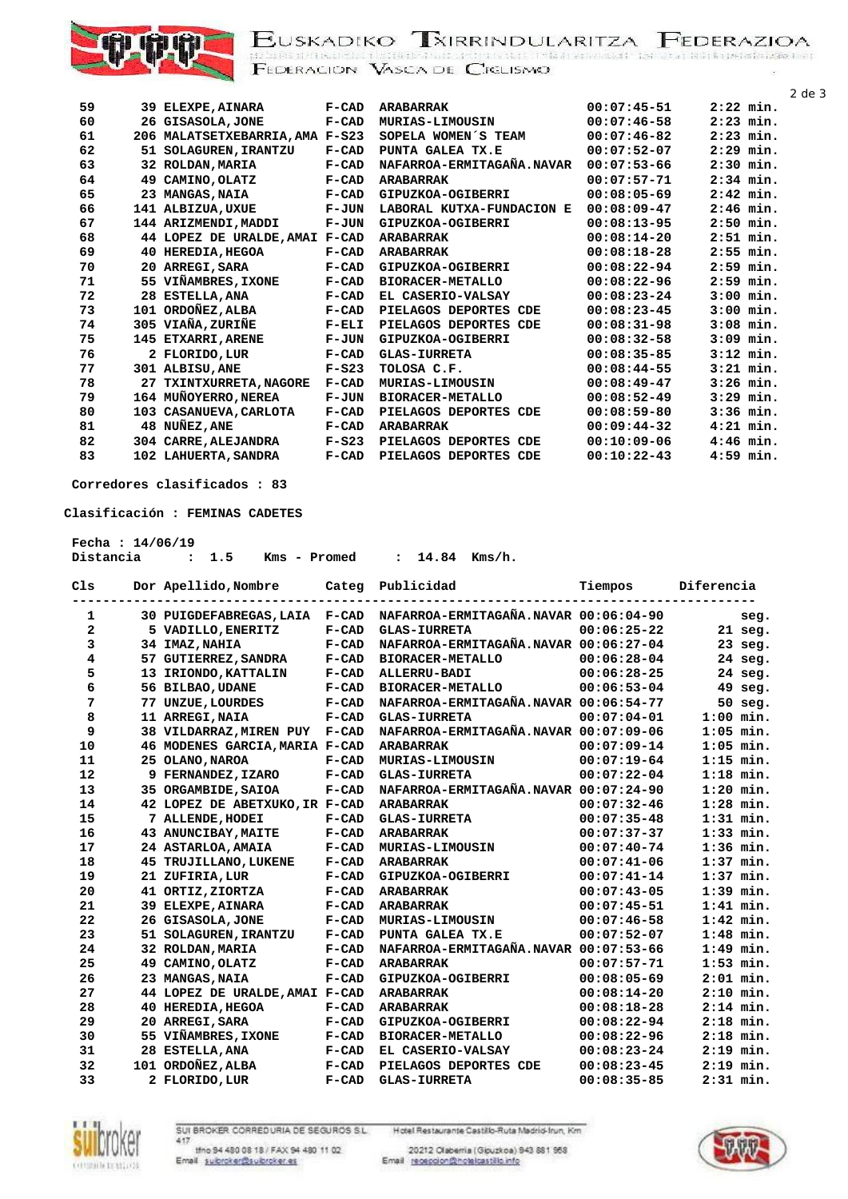

## EUSKADIKO TXIRRINDULARITZA FEDERAZIOA<br>ACARETARI EN ENTRENDENTEN ELITEN ERRETA TELEVISIONISTIK<br>FEDERACION VASCA DE CIGLISMO

|    |                             |                                                                                                                                                                                                                                                                                                                                                                                                                                                     |                                                                                              |                                                                                                    |                                                                  | $2$ de $3$                                               |
|----|-----------------------------|-----------------------------------------------------------------------------------------------------------------------------------------------------------------------------------------------------------------------------------------------------------------------------------------------------------------------------------------------------------------------------------------------------------------------------------------------------|----------------------------------------------------------------------------------------------|----------------------------------------------------------------------------------------------------|------------------------------------------------------------------|----------------------------------------------------------|
|    |                             |                                                                                                                                                                                                                                                                                                                                                                                                                                                     |                                                                                              |                                                                                                    |                                                                  |                                                          |
|    |                             |                                                                                                                                                                                                                                                                                                                                                                                                                                                     |                                                                                              |                                                                                                    |                                                                  |                                                          |
|    |                             |                                                                                                                                                                                                                                                                                                                                                                                                                                                     |                                                                                              |                                                                                                    |                                                                  |                                                          |
|    |                             |                                                                                                                                                                                                                                                                                                                                                                                                                                                     |                                                                                              |                                                                                                    |                                                                  |                                                          |
|    |                             | $F-CAD$                                                                                                                                                                                                                                                                                                                                                                                                                                             | NAFARROA-ERMITAGAÑA.NAVAR                                                                    | $00:07:53-66$                                                                                      | $2:30$ min.                                                      |                                                          |
| 49 | CAMINO, OLATZ               | $F-CAD$                                                                                                                                                                                                                                                                                                                                                                                                                                             | <b>ARABARRAK</b>                                                                             | $00:07:57-71$                                                                                      | $2:34$ min.                                                      |                                                          |
|    |                             | $F-CAD$                                                                                                                                                                                                                                                                                                                                                                                                                                             | GIPUZKOA-OGIBERRI                                                                            | $00:08:05-69$                                                                                      | $2:42$ min.                                                      |                                                          |
|    |                             | $F-JUN$                                                                                                                                                                                                                                                                                                                                                                                                                                             | LABORAL KUTXA-FUNDACION E                                                                    | $00:08:09-47$                                                                                      | $2:46$ min.                                                      |                                                          |
|    |                             | $F-JUN$                                                                                                                                                                                                                                                                                                                                                                                                                                             | GIPUZKOA-OGIBERRI                                                                            | $00:08:13-95$                                                                                      | $2:50$ min.                                                      |                                                          |
|    |                             | $F-CAD$                                                                                                                                                                                                                                                                                                                                                                                                                                             | <b>ARABARRAK</b>                                                                             | $00:08:14-20$                                                                                      | $2:51$ min.                                                      |                                                          |
|    | <b>HEREDIA, HEGOA</b>       | $F-CAD$                                                                                                                                                                                                                                                                                                                                                                                                                                             | <b>ARABARRAK</b>                                                                             | $00:08:18-28$                                                                                      | $2:55$ min.                                                      |                                                          |
|    |                             | $F-CAD$                                                                                                                                                                                                                                                                                                                                                                                                                                             | GIPUZKOA-OGIBERRI                                                                            | $00:08:22-94$                                                                                      | $2:59$ min.                                                      |                                                          |
|    |                             | $F-CAD$                                                                                                                                                                                                                                                                                                                                                                                                                                             | <b>BIORACER-METALLO</b>                                                                      | $00:08:22-96$                                                                                      | $2:59$ min.                                                      |                                                          |
|    |                             | $F-CAD$                                                                                                                                                                                                                                                                                                                                                                                                                                             | EL CASERIO-VALSAY                                                                            | $00:08:23-24$                                                                                      | $3:00$ min.                                                      |                                                          |
|    |                             | $F-CAD$                                                                                                                                                                                                                                                                                                                                                                                                                                             | PIELAGOS DEPORTES CDE                                                                        | $00:08:23-45$                                                                                      | $3:00$ min.                                                      |                                                          |
|    |                             | $F-ELI$                                                                                                                                                                                                                                                                                                                                                                                                                                             | PIELAGOS DEPORTES CDE                                                                        | $00:08:31-98$                                                                                      | $3:08$ min.                                                      |                                                          |
|    |                             | $F-JUN$                                                                                                                                                                                                                                                                                                                                                                                                                                             | GIPUZKOA-OGIBERRI                                                                            | $00:08:32-58$                                                                                      | $3:09$ min.                                                      |                                                          |
|    |                             | $F-CAD$                                                                                                                                                                                                                                                                                                                                                                                                                                             | <b>GLAS-IURRETA</b>                                                                          | $00:08:35-85$                                                                                      | $3:12$ min.                                                      |                                                          |
|    |                             | $F-S23$                                                                                                                                                                                                                                                                                                                                                                                                                                             | TOLOSA C.F.                                                                                  | $00:08:44-55$                                                                                      | $3:21$ min.                                                      |                                                          |
|    | <b>TXINTXURRETA, NAGORE</b> | $F-CAD$                                                                                                                                                                                                                                                                                                                                                                                                                                             | <b>MURIAS-LIMOUSIN</b>                                                                       | $00:08:49-47$                                                                                      | $3:26$ min.                                                      |                                                          |
|    |                             | $F-JUN$                                                                                                                                                                                                                                                                                                                                                                                                                                             | <b>BIORACER-METALLO</b>                                                                      | $00:08:52-49$                                                                                      | $3:29$ min.                                                      |                                                          |
|    |                             | $F-CAD$                                                                                                                                                                                                                                                                                                                                                                                                                                             | PIELAGOS DEPORTES CDE                                                                        | $00:08:59-80$                                                                                      | $3:36$ min.                                                      |                                                          |
|    |                             | $F-CAD$                                                                                                                                                                                                                                                                                                                                                                                                                                             | <b>ARABARRAK</b>                                                                             | $00:09:44-32$                                                                                      | $4:21$ min.                                                      |                                                          |
|    |                             | $F-S23$                                                                                                                                                                                                                                                                                                                                                                                                                                             | PIELAGOS DEPORTES CDE                                                                        | $00:10:09-06$                                                                                      | $4:46$ min.                                                      |                                                          |
|    |                             | $F-CAD$                                                                                                                                                                                                                                                                                                                                                                                                                                             | PIELAGOS DEPORTES CDE                                                                        | $00:10:22-43$                                                                                      | $4:59$ min.                                                      |                                                          |
|    |                             | 39 ELEXPE, AINARA<br>26 GISASOLA, JONE<br>51 SOLAGUREN, IRANTZU<br>32 ROLDAN, MARIA<br>23 MANGAS, NAIA<br>141 ALBIZUA, UXUE<br>144 ARIZMENDI, MADDI<br>40<br>20 ARREGI, SARA<br>55 VIÑAMBRES, IXONE<br>28 ESTELLA, ANA<br>101 ORDOÑEZ, ALBA<br>305 VIAÑA,ZURIÑE<br>145 ETXARRI, ARENE<br>2 FLORIDO, LUR<br>301 ALBISU, ANE<br>27<br>164 MUÑOYERRO, NEREA<br>103 CASANUEVA, CARLOTA<br>48 NUÑEZ, ANE<br>304 CARRE, ALEJANDRA<br>102 LAHUERTA, SANDRA | $F-CAD$<br>$F-CAD$<br>206 MALATSETXEBARRIA, AMA F-S23<br>$F-CAD$<br>44 LOPEZ DE URALDE, AMAI | <b>ARABARRAK</b><br><b>MURIAS-LIMOUSIN</b><br>SOPELA WOMEN <sup>'</sup> S TEAM<br>PUNTA GALEA TX.E | $00:07:45-51$<br>$00:07:46-58$<br>$00:07:46-82$<br>$00:07:52-07$ | $2:22$ min.<br>$2:23$ min.<br>$2:23$ min.<br>$2:29$ min. |

**Corredores clasificados : 83**

**Clasificación : FEMINAS CADETES**

**Fecha : 14/06/19**

**Distancia : 1.5 Kms - Promed : 14.84 Kms/h.**

| Cls | Dor Apellido, Nombre<br>------------------- |         | Categ Publicidad                                                     | Tiempos       | Diferencia<br>--------------- |
|-----|---------------------------------------------|---------|----------------------------------------------------------------------|---------------|-------------------------------|
| 1   |                                             |         | 30 PUIGDEFABREGAS, LAIA F-CAD NAFARROA-ERMITAGAÑA. NAVAR 00:06:04-90 |               | seg.                          |
| 2   | 5 VADILLO, ENERITZ                          | $F-CAD$ | <b>GLAS-IURRETA</b>                                                  | $00:06:25-22$ | $21$ seq.                     |
| 3   | 34 IMAZ, NAHIA                              | $F-CAD$ | NAFARROA-ERMITAGAÑA.NAVAR 00:06:27-04                                |               | $23$ seq.                     |
| 4   | 57 GUTIERREZ, SANDRA                        | $F-CAD$ | <b>BIORACER-METALLO</b>                                              | $00:06:28-04$ | $24$ seg.                     |
| 5   | 13 IRIONDO, KATTALIN                        | $F-CAD$ | ALLERRU-BADI                                                         | $00:06:28-25$ | $24$ seg.                     |
| 6   | 56 BILBAO, UDANE                            | $F-CAD$ | <b>BIORACER-METALLO</b>                                              | $00:06:53-04$ | 49 seg.                       |
| 7   | 77 UNZUE, LOURDES                           | $F-CAD$ | NAFARROA-ERMITAGAÑA.NAVAR 00:06:54-77                                |               | 50 seg.                       |
| 8   | 11 ARREGI, NAIA                             | $F-CAD$ | <b>GLAS-IURRETA</b>                                                  | $00:07:04-01$ | $1:00$ min.                   |
| 9   | 38 VILDARRAZ, MIREN PUY F-CAD               |         | NAFARROA-ERMITAGAÑA.NAVAR 00:07:09-06                                |               | $1:05$ min.                   |
| 10  | 46 MODENES GARCIA, MARIA F-CAD              |         | <b>ARABARRAK</b>                                                     | $00:07:09-14$ | $1:05$ min.                   |
| 11  | 25 OLANO, NAROA                             | $F-CAD$ | <b>MURIAS-LIMOUSIN</b>                                               | $00:07:19-64$ | $1:15$ min.                   |
| 12  | 9 FERNANDEZ, IZARO                          | $F-CAD$ | <b>GLAS-IURRETA</b>                                                  | $00:07:22-04$ | $1:18$ min.                   |
| 13  | 35 ORGAMBIDE, SAIOA                         | $F-CAD$ | NAFARROA-ERMITAGAÑA.NAVAR 00:07:24-90                                |               | $1:20$ min.                   |
| 14  | 42 LOPEZ DE ABETXUKO, IR F-CAD              |         | <b>ARABARRAK</b>                                                     | $00:07:32-46$ | $1:28$ min.                   |
| 15  | 7 ALLENDE, HODEI                            | $F-CAD$ | <b>GLAS-IURRETA</b>                                                  | $00:07:35-48$ | $1:31$ min.                   |
| 16  | 43 ANUNCIBAY, MAITE                         | F-CAD   | <b>ARABARRAK</b>                                                     | $00:07:37-37$ | $1:33$ min.                   |
| 17  | <b>24 ASTARLOA, AMAIA</b>                   | $F-CAD$ | <b>MURIAS-LIMOUSIN</b>                                               | $00:07:40-74$ | $1:36$ min.                   |
| 18  | 45 TRUJILLANO, LUKENE                       | F-CAD   | <b>ARABARRAK</b>                                                     | $00:07:41-06$ | $1:37$ min.                   |
| 19  | 21 ZUFIRIA, LUR                             | $F-CAD$ | GIPUZKOA-OGIBERRI                                                    | $00:07:41-14$ | $1:37$ min.                   |
| 20  | 41 ORTIZ,ZIORTZA                            | $F-CAD$ | <b>ARABARRAK</b>                                                     | $00:07:43-05$ | $1:39$ min.                   |
| 21  | <b>39 ELEXPE, AINARA</b>                    | $F-CAD$ | <b>ARABARRAK</b>                                                     | $00:07:45-51$ | $1:41$ min.                   |
| 22  | 26 GISASOLA, JONE                           | $F-CAD$ | <b>MURIAS-LIMOUSIN</b>                                               | $00:07:46-58$ | $1:42$ min.                   |
| 23  | 51 SOLAGUREN, IRANTZU                       | $F-CAD$ | PUNTA GALEA TX.E                                                     | $00:07:52-07$ | $1:48$ min.                   |
| 24  | 32 ROLDAN, MARIA                            | $F-CAD$ | NAFARROA-ERMITAGAÑA.NAVAR 00:07:53-66                                |               | $1:49$ min.                   |
| 25  | 49 CAMINO, OLATZ                            | $F-CAD$ | <b>ARABARRAK</b>                                                     | $00:07:57-71$ | $1:53$ min.                   |
| 26  | 23 MANGAS, NAIA                             | $F-CAD$ | GIPUZKOA-OGIBERRI                                                    | $00:08:05-69$ | $2:01$ min.                   |
| 27  | 44 LOPEZ DE URALDE, AMAI F-CAD              |         | <b>ARABARRAK</b>                                                     | $00:08:14-20$ | $2:10$ min.                   |
| 28  | 40 HEREDIA, HEGOA                           | $F-CAD$ | <b>ARABARRAK</b>                                                     | $00:08:18-28$ | $2:14$ min.                   |
| 29  | 20 ARREGI, SARA                             | $F-CAD$ | GIPUZKOA-OGIBERRI                                                    | $00:08:22-94$ | $2:18$ min.                   |
| 30  | 55 VIÑAMBRES,IXONE                          | $F-CAD$ | <b>BIORACER-METALLO</b>                                              | $00:08:22-96$ | $2:18$ min.                   |
| 31  | 28 ESTELLA, ANA                             | $F-CAD$ | EL CASERIO-VALSAY                                                    | $00:08:23-24$ | $2:19$ min.                   |
| 32  | 101 ORDOÑEZ, ALBA F-CAD                     |         | PIELAGOS DEPORTES CDE                                                | $00:08:23-45$ | $2:19$ min.                   |
| 33  | 2 FLORIDO, LUR                              | $F-CAD$ | <b>GLAS-IURRETA</b>                                                  | $00:08:35-85$ | $2:31$ min.                   |



417<br>
the 94 480 08 18 / FAX 94 480 11 02<br>
Email subroker@subroker.es

SUI BROKER CORREDURIA DE SEGUROS S.L. Hotel Restaurante Castillo-Ruta Madrid-Irun, Km